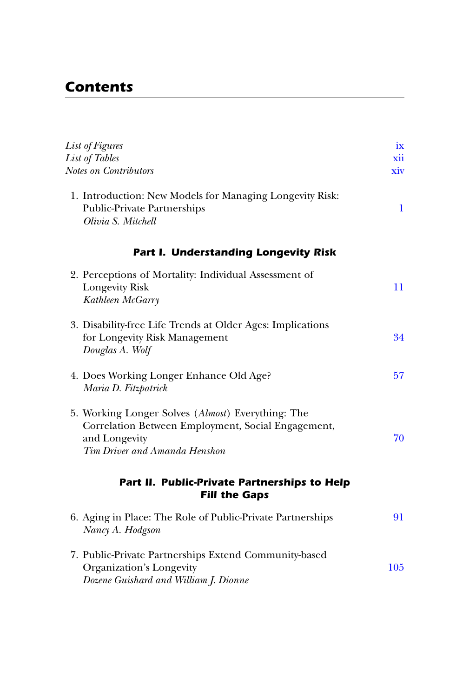## *Contents*

| <b>List of Figures</b><br><b>List of Tables</b>                                                                                                           | ix<br>xii |
|-----------------------------------------------------------------------------------------------------------------------------------------------------------|-----------|
| Notes on Contributors                                                                                                                                     | xiv       |
| 1. Introduction: New Models for Managing Longevity Risk:<br><b>Public-Private Partnerships</b><br>Olivia S. Mitchell                                      | 1         |
| <b>Part I. Understanding Longevity Risk</b>                                                                                                               |           |
| 2. Perceptions of Mortality: Individual Assessment of<br><b>Longevity Risk</b><br>Kathleen McGarry                                                        | 11        |
| 3. Disability-free Life Trends at Older Ages: Implications<br>for Longevity Risk Management<br>Douglas A. Wolf                                            | 34        |
| 4. Does Working Longer Enhance Old Age?<br>Maria D. Fitzpatrick                                                                                           | 57        |
| 5. Working Longer Solves (Almost) Everything: The<br>Correlation Between Employment, Social Engagement,<br>and Longevity<br>Tim Driver and Amanda Henshon | 70        |
| Part II. Public-Private Partnerships to Help<br><b>Fill the Gaps</b>                                                                                      |           |
| 6. Aging in Place: The Role of Public-Private Partnerships<br>Nancy A. Hodgson                                                                            | 91        |
| 7. Public-Private Partnerships Extend Community-based<br>Organization's Longevity<br>Dozene Guishard and William J. Dionne                                | 105       |